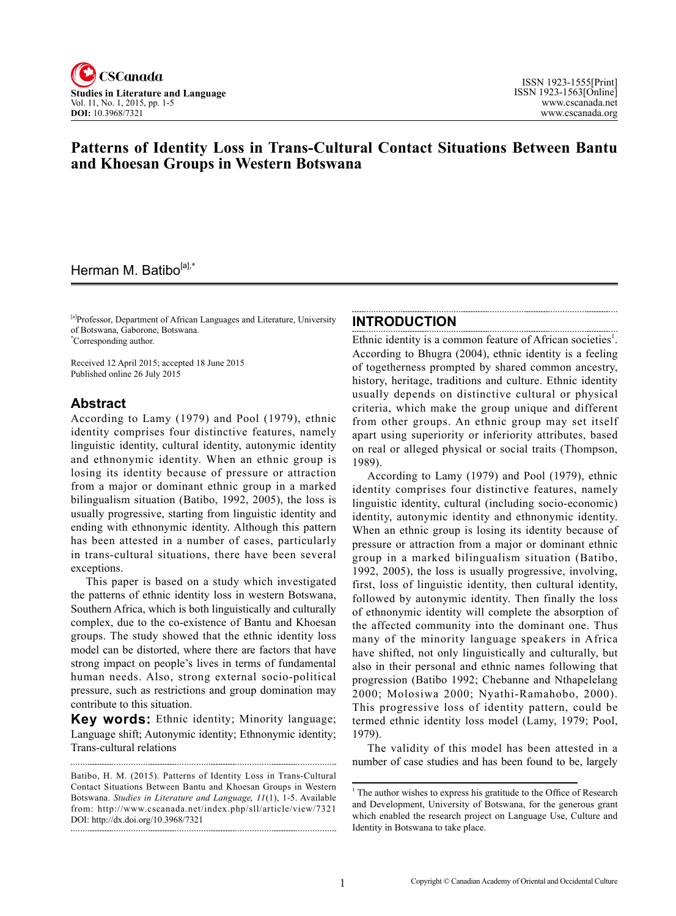

# **Patterns of Identity Loss in Trans-Cultural Contact Situations Between Bantu and Khoesan Groups in Western Botswana**

# Herman M. Batibo[a],**\***

[a]Professor, Department of African Languages and Literature, University of Botswana, Gaborone, Botswana. \* Corresponding author.

Received 12 April 2015; accepted 18 June 2015 Published online 26 July 2015

### **Abstract**

According to Lamy (1979) and Pool (1979), ethnic identity comprises four distinctive features, namely linguistic identity, cultural identity, autonymic identity and ethnonymic identity. When an ethnic group is losing its identity because of pressure or attraction from a major or dominant ethnic group in a marked bilingualism situation (Batibo, 1992, 2005), the loss is usually progressive, starting from linguistic identity and ending with ethnonymic identity. Although this pattern has been attested in a number of cases, particularly in trans-cultural situations, there have been several exceptions.

This paper is based on a study which investigated the patterns of ethnic identity loss in western Botswana, Southern Africa, which is both linguistically and culturally complex, due to the co-existence of Bantu and Khoesan groups. The study showed that the ethnic identity loss model can be distorted, where there are factors that have strong impact on people's lives in terms of fundamental human needs. Also, strong external socio-political pressure, such as restrictions and group domination may contribute to this situation.

**Key words:** Ethnic identity; Minority language; Language shift; Autonymic identity; Ethnonymic identity; Trans-cultural relations

#### **INTRODUCTION**

Ethnic identity is a common feature of African societies<sup>1</sup>. According to Bhugra (2004), ethnic identity is a feeling of togetherness prompted by shared common ancestry, history, heritage, traditions and culture. Ethnic identity usually depends on distinctive cultural or physical criteria, which make the group unique and different from other groups. An ethnic group may set itself apart using superiority or inferiority attributes, based on real or alleged physical or social traits (Thompson, 1989).

According to Lamy (1979) and Pool (1979), ethnic identity comprises four distinctive features, namely linguistic identity, cultural (including socio-economic) identity, autonymic identity and ethnonymic identity. When an ethnic group is losing its identity because of pressure or attraction from a major or dominant ethnic group in a marked bilingualism situation (Batibo, 1992, 2005), the loss is usually progressive, involving, first, loss of linguistic identity, then cultural identity, followed by autonymic identity. Then finally the loss of ethnonymic identity will complete the absorption of the affected community into the dominant one. Thus many of the minority language speakers in Africa have shifted, not only linguistically and culturally, but also in their personal and ethnic names following that progression (Batibo 1992; Chebanne and Nthapelelang 2000; Molosiwa 2000; Nyathi-Ramahobo, 2000). This progressive loss of identity pattern, could be termed ethnic identity loss model (Lamy, 1979; Pool, 1979).

The validity of this model has been attested in a number of case studies and has been found to be, largely

Batibo, H. M. (2015). Patterns of Identity Loss in Trans-Cultural Contact Situations Between Bantu and Khoesan Groups in Western Botswana. *Studies in Literature and Language*, <sup>11</sup>(1), 1-5. Available from: http://www.cscanada.net/index.php/sll/article/view/7321 DOI: http://dx.doi.org/10.3968/7321 

<sup>&</sup>lt;sup>1</sup> The author wishes to express his gratitude to the Office of Research and Development, University of Botswana, for the generous grant which enabled the research project on Language Use, Culture and Identity in Botswana to take place.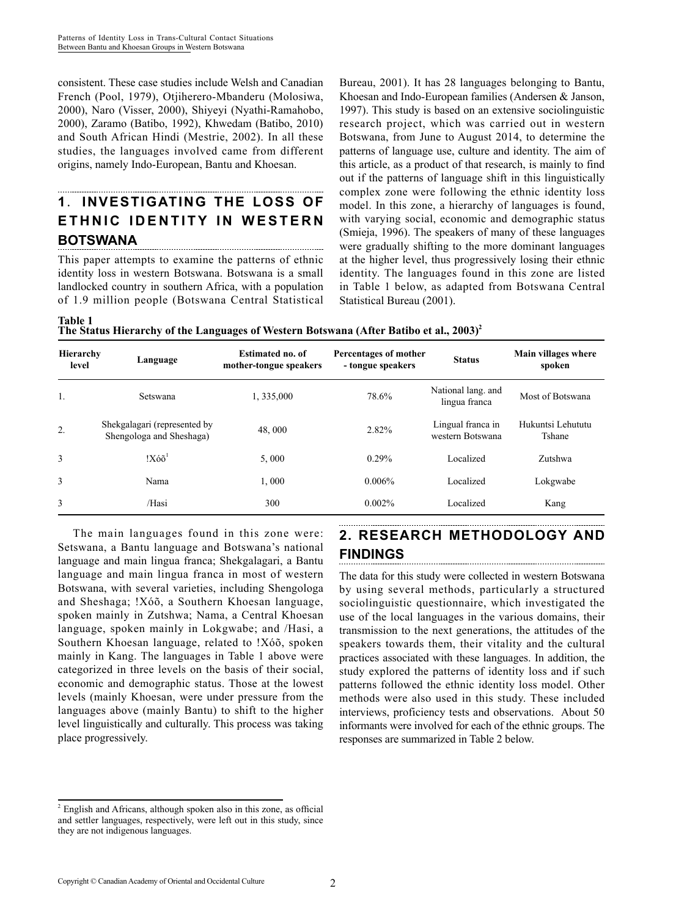consistent. These case studies include Welsh and Canadian French (Pool, 1979), Otjiherero-Mbanderu (Molosiwa, 2000), Naro (Visser, 2000), Shiyeyi (Nyathi-Ramahobo, 2000), Zaramo (Batibo, 1992), Khwedam (Batibo, 2010) and South African Hindi (Mestrie, 2002). In all these studies, the languages involved came from different origins, namely Indo-European, Bantu and Khoesan.

### **1**. **INVESTIGATING THE LOSS OF ETHNIC IDENTITY IN WESTERN BOTSWANA**

This paper attempts to examine the patterns of ethnic identity loss in western Botswana. Botswana is a small landlocked country in southern Africa, with a population of 1.9 million people (Botswana Central Statistical

Bureau, 2001). It has 28 languages belonging to Bantu, Khoesan and Indo-European families (Andersen & Janson, 1997). This study is based on an extensive sociolinguistic research project, which was carried out in western Botswana, from June to August 2014, to determine the patterns of language use, culture and identity. The aim of this article, as a product of that research, is mainly to find out if the patterns of language shift in this linguistically complex zone were following the ethnic identity loss model. In this zone, a hierarchy of languages is found, with varying social, economic and demographic status (Smieja, 1996). The speakers of many of these languages were gradually shifting to the more dominant languages at the higher level, thus progressively losing their ethnic identity. The languages found in this zone are listed in Table 1 below, as adapted from Botswana Central Statistical Bureau (2001).

**Table 1** The Status Hierarchy of the Languages of Western Botswana (After Batibo et al., 2003)<sup>2</sup>

| Hierarchy<br>level | Language                                                 | <b>Estimated no. of</b><br>mother-tongue speakers | Percentages of mother<br>- tongue speakers | <b>Status</b>                         | Main villages where<br>spoken |
|--------------------|----------------------------------------------------------|---------------------------------------------------|--------------------------------------------|---------------------------------------|-------------------------------|
| 1.                 | Setswana                                                 | 1, 335,000                                        | 78.6%                                      | National lang. and<br>lingua franca   | Most of Botswana              |
| 2.                 | Shekgalagari (represented by<br>Shengologa and Sheshaga) | 48,000                                            | 2.82%                                      | Lingual franca in<br>western Botswana | Hukuntsi Lehututu<br>Tshane   |
| 3                  | $!X\acute{o}\tilde{o}^1$                                 | 5,000                                             | 0.29%                                      | Localized                             | Zutshwa                       |
| 3                  | Nama                                                     | 1,000                                             | $0.006\%$                                  | Localized                             | Lokgwabe                      |
| 3                  | /Hasi                                                    | 300                                               | 0.002%                                     | Localized                             | Kang                          |

The main languages found in this zone were: Setswana, a Bantu language and Botswana's national language and main lingua franca; Shekgalagari, a Bantu language and main lingua franca in most of western Botswana, with several varieties, including Shengologa and Sheshaga; !Xóõ, a Southern Khoesan language, spoken mainly in Zutshwa; Nama, a Central Khoesan language, spoken mainly in Lokgwabe; and /Hasi, a Southern Khoesan language, related to !Xóõ, spoken mainly in Kang. The languages in Table 1 above were categorized in three levels on the basis of their social, economic and demographic status. Those at the lowest levels (mainly Khoesan, were under pressure from the languages above (mainly Bantu) to shift to the higher level linguistically and culturally. This process was taking place progressively.**<sup>2</sup>**

# **2. RESEARCH METHODOLOGY AND FINDINGS**

The data for this study were collected in western Botswana by using several methods, particularly a structured sociolinguistic questionnaire, which investigated the use of the local languages in the various domains, their transmission to the next generations, the attitudes of the speakers towards them, their vitality and the cultural practices associated with these languages. In addition, the study explored the patterns of identity loss and if such patterns followed the ethnic identity loss model. Other methods were also used in this study. These included interviews, proficiency tests and observations. About 50 informants were involved for each of the ethnic groups. The responses are summarized in Table 2 below.

<sup>&</sup>lt;sup>2</sup> English and Africans, although spoken also in this zone, as official and settler languages, respectively, were left out in this study, since they are not indigenous languages.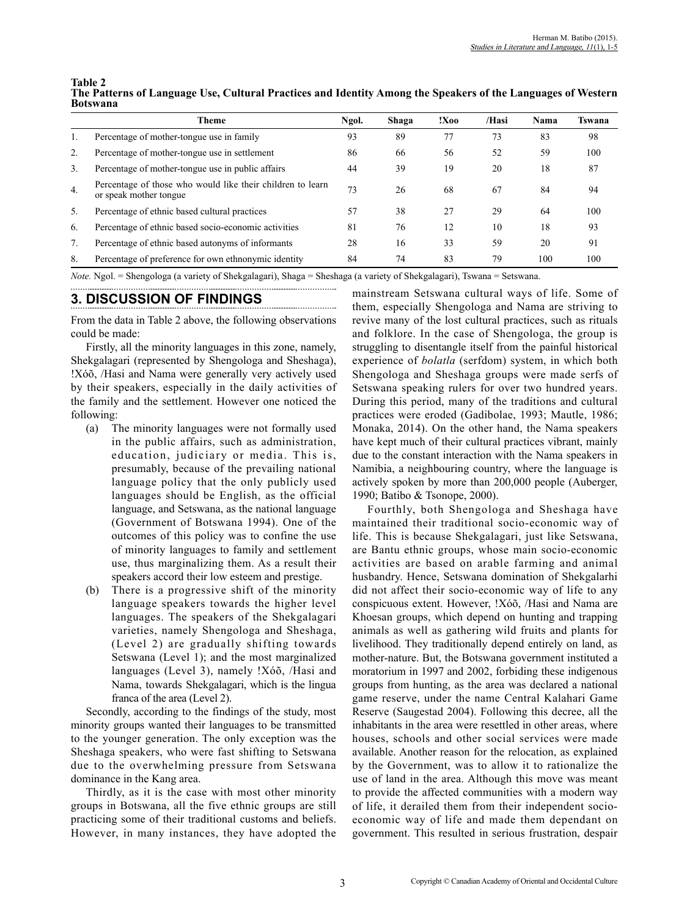| Table 2<br>The Patterns of Language Use, Cultural Practices and Identity Among the Speakers of the Languages of Western<br><b>Botswana</b> |
|--------------------------------------------------------------------------------------------------------------------------------------------|
|--------------------------------------------------------------------------------------------------------------------------------------------|

|                  | Theme                                                                                | Ngol. | Shaga | !X00 | /Hasi | Nama | Tswana |
|------------------|--------------------------------------------------------------------------------------|-------|-------|------|-------|------|--------|
|                  | Percentage of mother-tongue use in family                                            | 93    | 89    | 77   | 73    | 83   | 98     |
| 2.               | Percentage of mother-tongue use in settlement                                        | 86    | 66    | 56   | 52    | 59   | 100    |
| 3.               | Percentage of mother-tongue use in public affairs                                    | 44    | 39    | 19   | 20    | 18   | 87     |
| $\overline{4}$ . | Percentage of those who would like their children to learn<br>or speak mother tongue | 73    | 26    | 68   | 67    | 84   | 94     |
| 5.               | Percentage of ethnic based cultural practices                                        | 57    | 38    | 27   | 29    | 64   | 100    |
| 6.               | Percentage of ethnic based socio-economic activities                                 | 81    | 76    | 12   | 10    | 18   | 93     |
|                  | Percentage of ethnic based autonyms of informants                                    | 28    | 16    | 33   | 59    | 20   | 91     |
| 8.               | Percentage of preference for own ethnonymic identity                                 | 84    | 74    | 83   | 79    | 100  | 100    |

*Note.* Ngol. = Shengologa (a variety of Shekgalagari), Shaga = Sheshaga (a variety of Shekgalagari), Tswana = Setswana.

## **3. DISCUSSION OF FINDINGS**

From the data in Table 2 above, the following observations could be made:

Firstly, all the minority languages in this zone, namely, Shekgalagari (represented by Shengologa and Sheshaga), !Xóõ, /Hasi and Nama were generally very actively used by their speakers, especially in the daily activities of the family and the settlement. However one noticed the following:

- (a) The minority languages were not formally used in the public affairs, such as administration, education, judiciary or media. This is, presumably, because of the prevailing national language policy that the only publicly used languages should be English, as the official language, and Setswana, as the national language (Government of Botswana 1994). One of the outcomes of this policy was to confine the use of minority languages to family and settlement use, thus marginalizing them. As a result their speakers accord their low esteem and prestige.
- (b) There is a progressive shift of the minority language speakers towards the higher level languages. The speakers of the Shekgalagari varieties, namely Shengologa and Sheshaga, (Level 2) are gradually shifting towards Setswana (Level 1); and the most marginalized languages (Level 3), namely !Xóõ, /Hasi and Nama, towards Shekgalagari, which is the lingua franca of the area (Level 2).

Secondly, according to the findings of the study, most minority groups wanted their languages to be transmitted to the younger generation. The only exception was the Sheshaga speakers, who were fast shifting to Setswana due to the overwhelming pressure from Setswana dominance in the Kang area.

Thirdly, as it is the case with most other minority groups in Botswana, all the five ethnic groups are still practicing some of their traditional customs and beliefs. However, in many instances, they have adopted the mainstream Setswana cultural ways of life. Some of them, especially Shengologa and Nama are striving to revive many of the lost cultural practices, such as rituals and folklore. In the case of Shengologa, the group is struggling to disentangle itself from the painful historical experience of *bolatla* (serfdom) system, in which both Shengologa and Sheshaga groups were made serfs of Setswana speaking rulers for over two hundred years. During this period, many of the traditions and cultural practices were eroded (Gadibolae, 1993; Mautle, 1986; Monaka, 2014). On the other hand, the Nama speakers have kept much of their cultural practices vibrant, mainly due to the constant interaction with the Nama speakers in Namibia, a neighbouring country, where the language is actively spoken by more than 200,000 people (Auberger, 1990; Batibo & Tsonope, 2000).

Fourthly, both Shengologa and Sheshaga have maintained their traditional socio-economic way of life. This is because Shekgalagari, just like Setswana, are Bantu ethnic groups, whose main socio-economic activities are based on arable farming and animal husbandry. Hence, Setswana domination of Shekgalarhi did not affect their socio-economic way of life to any conspicuous extent. However, !Xóõ, /Hasi and Nama are Khoesan groups, which depend on hunting and trapping animals as well as gathering wild fruits and plants for livelihood. They traditionally depend entirely on land, as mother-nature. But, the Botswana government instituted a moratorium in 1997 and 2002, forbiding these indigenous groups from hunting, as the area was declared a national game reserve, under the name Central Kalahari Game Reserve (Saugestad 2004). Following this decree, all the inhabitants in the area were resettled in other areas, where houses, schools and other social services were made available. Another reason for the relocation, as explained by the Government, was to allow it to rationalize the use of land in the area. Although this move was meant to provide the affected communities with a modern way of life, it derailed them from their independent socioeconomic way of life and made them dependant on government. This resulted in serious frustration, despair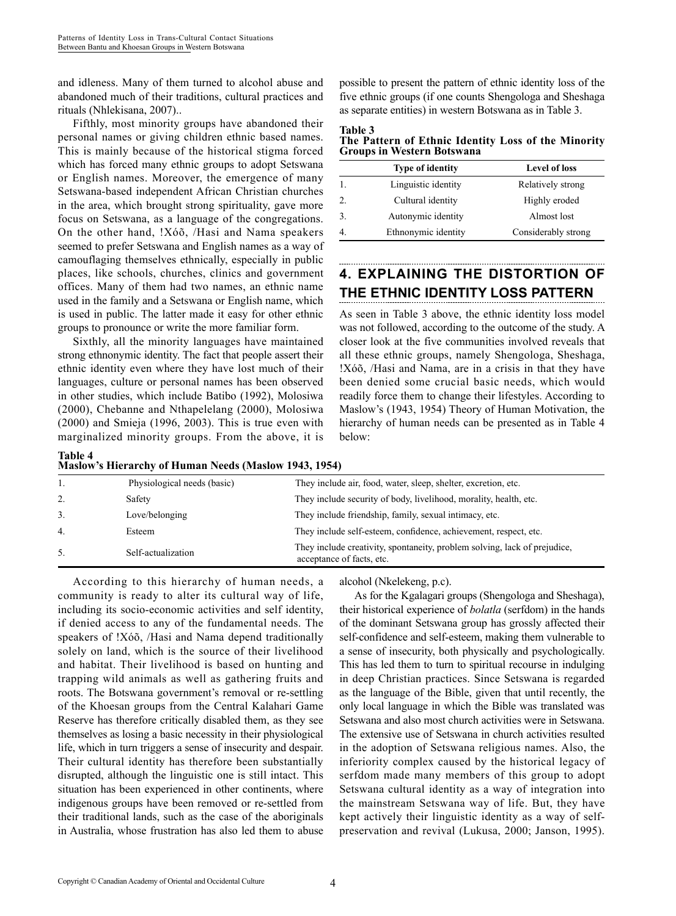and idleness. Many of them turned to alcohol abuse and abandoned much of their traditions, cultural practices and rituals (Nhlekisana, 2007)..

Fifthly, most minority groups have abandoned their personal names or giving children ethnic based names. This is mainly because of the historical stigma forced which has forced many ethnic groups to adopt Setswana or English names. Moreover, the emergence of many Setswana-based independent African Christian churches in the area, which brought strong spirituality, gave more focus on Setswana, as a language of the congregations. On the other hand, !Xóõ, /Hasi and Nama speakers seemed to prefer Setswana and English names as a way of camouflaging themselves ethnically, especially in public places, like schools, churches, clinics and government offices. Many of them had two names, an ethnic name used in the family and a Setswana or English name, which is used in public. The latter made it easy for other ethnic groups to pronounce or write the more familiar form.

Sixthly, all the minority languages have maintained strong ethnonymic identity. The fact that people assert their ethnic identity even where they have lost much of their languages, culture or personal names has been observed in other studies, which include Batibo (1992), Molosiwa (2000), Chebanne and Nthapelelang (2000), Molosiwa (2000) and Smieja (1996, 2003). This is true even with marginalized minority groups. From the above, it is

**Table 4**

possible to present the pattern of ethnic identity loss of the five ethnic groups (if one counts Shengologa and Sheshaga as separate entities) in western Botswana as in Table 3.

| Table 3                                             |  |  |
|-----------------------------------------------------|--|--|
| The Pattern of Ethnic Identity Loss of the Minority |  |  |
| <b>Groups in Western Botswana</b>                   |  |  |

|    | <b>Type of identity</b> | <b>Level of loss</b> |
|----|-------------------------|----------------------|
|    | Linguistic identity     | Relatively strong    |
| 2. | Cultural identity       | Highly eroded        |
|    | Autonymic identity      | Almost lost          |
|    | Ethnonymic identity     | Considerably strong  |

# **4. EXPLAINING THE DISTORTION OF THE ETHNIC IDENTITY LOSS PATTERN**

As seen in Table 3 above, the ethnic identity loss model was not followed, according to the outcome of the study. A closer look at the five communities involved reveals that all these ethnic groups, namely Shengologa, Sheshaga, !Xóõ, /Hasi and Nama, are in a crisis in that they have been denied some crucial basic needs, which would readily force them to change their lifestyles. According to Maslow's (1943, 1954) Theory of Human Motivation, the hierarchy of human needs can be presented as in Table 4 below:

| таріє 4<br>Maslow's Hierarchy of Human Needs (Maslow 1943, 1954) |                             |                                                                                                        |  |  |
|------------------------------------------------------------------|-----------------------------|--------------------------------------------------------------------------------------------------------|--|--|
|                                                                  | Physiological needs (basic) | They include air, food, water, sleep, shelter, excretion, etc.                                         |  |  |
| 2.                                                               | Safety                      | They include security of body, livelihood, morality, health, etc.                                      |  |  |
| 3.                                                               | Love/belonging              | They include friendship, family, sexual intimacy, etc.                                                 |  |  |
| $\overline{4}$ .                                                 | Esteem                      | They include self-esteem, confidence, achievement, respect, etc.                                       |  |  |
| 5.                                                               | Self-actualization          | They include creativity, spontaneity, problem solving, lack of prejudice,<br>acceptance of facts, etc. |  |  |

According to this hierarchy of human needs, a community is ready to alter its cultural way of life, including its socio-economic activities and self identity, if denied access to any of the fundamental needs. The speakers of !Xóõ, /Hasi and Nama depend traditionally solely on land, which is the source of their livelihood and habitat. Their livelihood is based on hunting and trapping wild animals as well as gathering fruits and roots. The Botswana government's removal or re-settling of the Khoesan groups from the Central Kalahari Game Reserve has therefore critically disabled them, as they see themselves as losing a basic necessity in their physiological life, which in turn triggers a sense of insecurity and despair. Their cultural identity has therefore been substantially disrupted, although the linguistic one is still intact. This situation has been experienced in other continents, where indigenous groups have been removed or re-settled from their traditional lands, such as the case of the aboriginals in Australia, whose frustration has also led them to abuse alcohol (Nkelekeng, p.c).

As for the Kgalagari groups (Shengologa and Sheshaga), their historical experience of *bolatla* (serfdom) in the hands of the dominant Setswana group has grossly affected their self-confidence and self-esteem, making them vulnerable to a sense of insecurity, both physically and psychologically. This has led them to turn to spiritual recourse in indulging in deep Christian practices. Since Setswana is regarded as the language of the Bible, given that until recently, the only local language in which the Bible was translated was Setswana and also most church activities were in Setswana. The extensive use of Setswana in church activities resulted in the adoption of Setswana religious names. Also, the inferiority complex caused by the historical legacy of serfdom made many members of this group to adopt Setswana cultural identity as a way of integration into the mainstream Setswana way of life. But, they have kept actively their linguistic identity as a way of selfpreservation and revival (Lukusa, 2000; Janson, 1995).